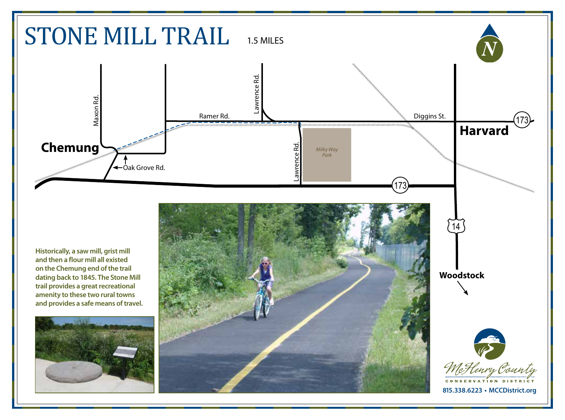